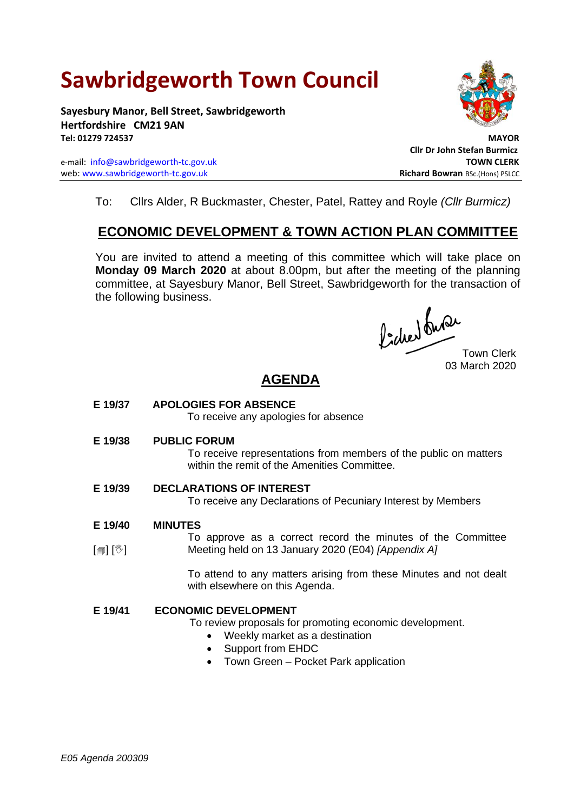# **Sawbridgeworth Town Council**

**Sayesbury Manor, Bell Street, Sawbridgeworth Hertfordshire CM21 9AN Tel: 01279 724537 MAYOR**

e-mail: [info@sawbridgeworth-tc.gov.uk](mailto:info@sawbridgeworth-tc.gov.uk) **TOWN CLERK** web: www.sawbridgeworth-tc.gov.uk<br> **Richard Bowran** BSc.(Hons) PSLCC



**Cllr Dr John Stefan Burmicz**

To: Cllrs Alder, R Buckmaster, Chester, Patel, Rattey and Royle *(Cllr Burmicz)*

## **ECONOMIC DEVELOPMENT & TOWN ACTION PLAN COMMITTEE**

You are invited to attend a meeting of this committee which will take place on **Monday 09 March 2020** at about 8.00pm, but after the meeting of the planning committee, at Sayesbury Manor, Bell Street, Sawbridgeworth for the transaction of the following business.

focher du Provo<br>Town Clerk

03 March 2020

## **AGENDA**

**E 19/37 APOLOGIES FOR ABSENCE**

To receive any apologies for absence

**E 19/38 PUBLIC FORUM**

To receive representations from members of the public on matters within the remit of the Amenities Committee.

- **E 19/39 DECLARATIONS OF INTEREST** To receive any Declarations of Pecuniary Interest by Members
- **E 19/40 MINUTES**
- $\lceil$  [ $\mathbb{I}$ ]  $\lceil \mathbb{V} \rceil$ To approve as a correct record the minutes of the Committee Meeting held on 13 January 2020 (E04) *[Appendix A]*

To attend to any matters arising from these Minutes and not dealt with elsewhere on this Agenda.

#### **E 19/41 ECONOMIC DEVELOPMENT**

To review proposals for promoting economic development.

- Weekly market as a destination
- Support from EHDC
- Town Green Pocket Park application